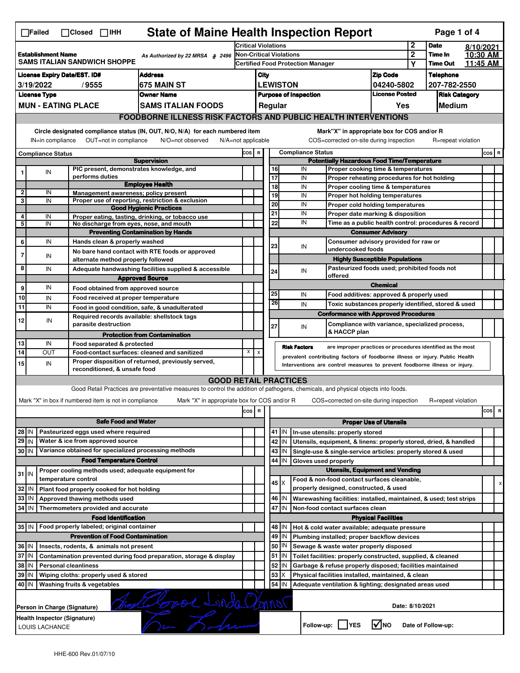| <b>State of Maine Health Inspection Report</b><br>Page 1 of 4<br>∏Failed<br>$\Box$ Closed $\Box$ IHH                                                                                                                                                                                      |                                                                                                                                    |                               |                                                                                    |                                                                                                                                                                   |     |                                                                                        |          |                 |                                                                                       |                                                                                   |                                      |                            |           |                      |  |  |
|-------------------------------------------------------------------------------------------------------------------------------------------------------------------------------------------------------------------------------------------------------------------------------------------|------------------------------------------------------------------------------------------------------------------------------------|-------------------------------|------------------------------------------------------------------------------------|-------------------------------------------------------------------------------------------------------------------------------------------------------------------|-----|----------------------------------------------------------------------------------------|----------|-----------------|---------------------------------------------------------------------------------------|-----------------------------------------------------------------------------------|--------------------------------------|----------------------------|-----------|----------------------|--|--|
|                                                                                                                                                                                                                                                                                           |                                                                                                                                    |                               |                                                                                    |                                                                                                                                                                   |     | <b>Critical Violations</b>                                                             |          |                 |                                                                                       | $\mathbf 2$                                                                       | <b>Date</b>                          |                            | 8/10/2021 |                      |  |  |
| <b>Establishment Name</b><br>As Authorized by 22 MRSA § 2496<br><b>SAMS ITALIAN SANDWICH SHOPPE</b>                                                                                                                                                                                       |                                                                                                                                    |                               |                                                                                    |                                                                                                                                                                   |     | <b>Non-Critical Violations</b><br><b>Certified Food Protection Manager</b>             |          |                 |                                                                                       |                                                                                   | $\mathbf{2}$                         | Time In<br><b>Time Out</b> |           | 10:30 AM<br>11:45 AM |  |  |
|                                                                                                                                                                                                                                                                                           |                                                                                                                                    |                               |                                                                                    |                                                                                                                                                                   |     |                                                                                        |          |                 |                                                                                       |                                                                                   | Υ                                    |                            |           |                      |  |  |
| <b>License Expiry Date/EST. ID#</b><br><b>Address</b>                                                                                                                                                                                                                                     |                                                                                                                                    |                               |                                                                                    |                                                                                                                                                                   |     | City                                                                                   |          |                 |                                                                                       | <b>Zip Code</b>                                                                   |                                      | <b>Telephone</b>           |           |                      |  |  |
| 3/19/2022<br>675 MAIN ST<br>/9555<br><b>License Type</b><br><b>Owner Name</b>                                                                                                                                                                                                             |                                                                                                                                    |                               |                                                                                    |                                                                                                                                                                   |     | <b>LEWISTON</b><br>04240-5802<br><b>License Posted</b><br><b>Purpose of Inspection</b> |          |                 |                                                                                       |                                                                                   | 207-782-2550<br><b>Risk Category</b> |                            |           |                      |  |  |
|                                                                                                                                                                                                                                                                                           |                                                                                                                                    |                               |                                                                                    |                                                                                                                                                                   |     |                                                                                        |          |                 |                                                                                       |                                                                                   |                                      |                            |           |                      |  |  |
| <b>MUN - EATING PLACE</b><br><b>SAMS ITALIAN FOODS</b>                                                                                                                                                                                                                                    |                                                                                                                                    |                               |                                                                                    |                                                                                                                                                                   |     |                                                                                        | Regular  |                 |                                                                                       | Yes                                                                               |                                      | Medium                     |           |                      |  |  |
|                                                                                                                                                                                                                                                                                           |                                                                                                                                    |                               |                                                                                    | <b>FOODBORNE ILLNESS RISK FACTORS AND PUBLIC HEALTH INTERVENTIONS</b>                                                                                             |     |                                                                                        |          |                 |                                                                                       |                                                                                   |                                      |                            |           |                      |  |  |
| Circle designated compliance status (IN, OUT, N/O, N/A) for each numbered item<br>Mark"X" in appropriate box for COS and/or R<br>OUT=not in compliance<br>COS=corrected on-site during inspection<br>R=repeat violation<br>IN=in compliance<br>N/O=not observed<br>$N/A = not$ applicable |                                                                                                                                    |                               |                                                                                    |                                                                                                                                                                   |     |                                                                                        |          |                 |                                                                                       |                                                                                   |                                      |                            |           |                      |  |  |
|                                                                                                                                                                                                                                                                                           | <b>Compliance Status</b>                                                                                                           |                               |                                                                                    |                                                                                                                                                                   |     |                                                                                        |          |                 | <b>Compliance Status</b>                                                              |                                                                                   |                                      |                            |           | COS R                |  |  |
|                                                                                                                                                                                                                                                                                           |                                                                                                                                    |                               |                                                                                    | <b>Supervision</b>                                                                                                                                                |     |                                                                                        |          |                 | <b>Potentially Hazardous Food Time/Temperature</b>                                    |                                                                                   |                                      |                            |           |                      |  |  |
| 1                                                                                                                                                                                                                                                                                         | IN                                                                                                                                 | performs duties               |                                                                                    | PIC present, demonstrates knowledge, and                                                                                                                          |     |                                                                                        | 16<br>17 |                 | IN                                                                                    | Proper cooking time & temperatures                                                |                                      |                            |           |                      |  |  |
|                                                                                                                                                                                                                                                                                           |                                                                                                                                    |                               |                                                                                    | <b>Employee Health</b>                                                                                                                                            |     |                                                                                        | 18       |                 | IN<br>IN                                                                              | Proper reheating procedures for hot holding<br>Proper cooling time & temperatures |                                      |                            |           |                      |  |  |
| $\overline{\mathbf{2}}$                                                                                                                                                                                                                                                                   | IN                                                                                                                                 |                               |                                                                                    | Management awareness; policy present                                                                                                                              |     |                                                                                        | 19       |                 | IN                                                                                    | Proper hot holding temperatures                                                   |                                      |                            |           |                      |  |  |
| 3                                                                                                                                                                                                                                                                                         | IN                                                                                                                                 |                               |                                                                                    | Proper use of reporting, restriction & exclusion                                                                                                                  |     |                                                                                        | 20       |                 | IN                                                                                    | Proper cold holding temperatures                                                  |                                      |                            |           |                      |  |  |
| 4                                                                                                                                                                                                                                                                                         | IN                                                                                                                                 |                               |                                                                                    | <b>Good Hygienic Practices</b><br>Proper eating, tasting, drinking, or tobacco use                                                                                |     |                                                                                        | 21       |                 | IN                                                                                    | Proper date marking & disposition                                                 |                                      |                            |           |                      |  |  |
| 5                                                                                                                                                                                                                                                                                         | IN                                                                                                                                 |                               |                                                                                    | No discharge from eyes, nose, and mouth                                                                                                                           |     |                                                                                        | 22       |                 | IN                                                                                    | Time as a public health control: procedures & record                              |                                      |                            |           |                      |  |  |
|                                                                                                                                                                                                                                                                                           |                                                                                                                                    |                               |                                                                                    | <b>Preventing Contamination by Hands</b>                                                                                                                          |     |                                                                                        |          |                 |                                                                                       | <b>Consumer Advisory</b>                                                          |                                      |                            |           |                      |  |  |
| 6                                                                                                                                                                                                                                                                                         | IN                                                                                                                                 |                               | Hands clean & properly washed                                                      |                                                                                                                                                                   |     |                                                                                        | 23       |                 | IN                                                                                    | Consumer advisory provided for raw or                                             |                                      |                            |           |                      |  |  |
| $\overline{7}$                                                                                                                                                                                                                                                                            | IN                                                                                                                                 |                               |                                                                                    | No bare hand contact with RTE foods or approved                                                                                                                   |     |                                                                                        |          |                 | undercooked foods                                                                     |                                                                                   |                                      |                            |           |                      |  |  |
|                                                                                                                                                                                                                                                                                           |                                                                                                                                    |                               | alternate method properly followed                                                 |                                                                                                                                                                   |     |                                                                                        |          |                 |                                                                                       | <b>Highly Susceptible Populations</b>                                             |                                      |                            |           |                      |  |  |
| 8                                                                                                                                                                                                                                                                                         | IN                                                                                                                                 |                               |                                                                                    | Adequate handwashing facilities supplied & accessible                                                                                                             |     |                                                                                        | 24       |                 | IN<br>offered                                                                         | Pasteurized foods used; prohibited foods not                                      |                                      |                            |           |                      |  |  |
|                                                                                                                                                                                                                                                                                           | IN                                                                                                                                 |                               |                                                                                    | <b>Approved Source</b>                                                                                                                                            |     |                                                                                        |          |                 |                                                                                       | <b>Chemical</b>                                                                   |                                      |                            |           |                      |  |  |
| 9<br>10                                                                                                                                                                                                                                                                                   |                                                                                                                                    |                               | Food obtained from approved source                                                 |                                                                                                                                                                   |     |                                                                                        | 25       |                 | IN                                                                                    | Food additives: approved & properly used                                          |                                      |                            |           |                      |  |  |
| 11                                                                                                                                                                                                                                                                                        | IN<br>IN                                                                                                                           |                               | Food received at proper temperature                                                |                                                                                                                                                                   |     |                                                                                        | 26       |                 | IN                                                                                    | Toxic substances properly identified, stored & used                               |                                      |                            |           |                      |  |  |
|                                                                                                                                                                                                                                                                                           |                                                                                                                                    |                               |                                                                                    | Food in good condition, safe, & unadulterated<br>Required records available: shellstock tags                                                                      |     |                                                                                        |          |                 | <b>Conformance with Approved Procedures</b>                                           |                                                                                   |                                      |                            |           |                      |  |  |
| 12                                                                                                                                                                                                                                                                                        | IN                                                                                                                                 |                               | parasite destruction                                                               |                                                                                                                                                                   |     |                                                                                        | 27       |                 | IN                                                                                    | Compliance with variance, specialized process,                                    |                                      |                            |           |                      |  |  |
|                                                                                                                                                                                                                                                                                           |                                                                                                                                    |                               |                                                                                    | <b>Protection from Contamination</b>                                                                                                                              |     |                                                                                        |          |                 | & HACCP plan                                                                          |                                                                                   |                                      |                            |           |                      |  |  |
| 13                                                                                                                                                                                                                                                                                        | IN                                                                                                                                 |                               | Food separated & protected                                                         |                                                                                                                                                                   |     |                                                                                        |          |                 | <b>Risk Factors</b>                                                                   | are improper practices or procedures identified as the most                       |                                      |                            |           |                      |  |  |
| 14                                                                                                                                                                                                                                                                                        | OUT                                                                                                                                |                               |                                                                                    | Food-contact surfaces: cleaned and sanitized                                                                                                                      | X   | $\pmb{\times}$                                                                         |          |                 | prevalent contributing factors of foodborne illness or injury. Public Health          |                                                                                   |                                      |                            |           |                      |  |  |
| 15                                                                                                                                                                                                                                                                                        | IN                                                                                                                                 |                               | Proper disposition of returned, previously served,<br>reconditioned, & unsafe food |                                                                                                                                                                   |     |                                                                                        |          |                 | Interventions are control measures to prevent foodborne illness or injury.            |                                                                                   |                                      |                            |           |                      |  |  |
|                                                                                                                                                                                                                                                                                           |                                                                                                                                    |                               |                                                                                    |                                                                                                                                                                   |     |                                                                                        |          |                 |                                                                                       |                                                                                   |                                      |                            |           |                      |  |  |
|                                                                                                                                                                                                                                                                                           |                                                                                                                                    |                               |                                                                                    | <b>GOOD RETAIL PRACTICES</b><br>Good Retail Practices are preventative measures to control the addition of pathogens, chemicals, and physical objects into foods. |     |                                                                                        |          |                 |                                                                                       |                                                                                   |                                      |                            |           |                      |  |  |
|                                                                                                                                                                                                                                                                                           |                                                                                                                                    |                               |                                                                                    |                                                                                                                                                                   |     |                                                                                        |          |                 |                                                                                       |                                                                                   |                                      |                            |           |                      |  |  |
|                                                                                                                                                                                                                                                                                           |                                                                                                                                    |                               | Mark "X" in box if numbered item is not in compliance                              | Mark "X" in appropriate box for COS and/or R                                                                                                                      |     |                                                                                        |          |                 | COS=corrected on-site during inspection                                               |                                                                                   |                                      | R=repeat violation         |           |                      |  |  |
|                                                                                                                                                                                                                                                                                           |                                                                                                                                    |                               |                                                                                    |                                                                                                                                                                   | cos | R                                                                                      |          |                 |                                                                                       |                                                                                   |                                      |                            |           | cos<br>R             |  |  |
|                                                                                                                                                                                                                                                                                           |                                                                                                                                    |                               | <b>Safe Food and Water</b>                                                         |                                                                                                                                                                   |     |                                                                                        |          |                 |                                                                                       | <b>Proper Use of Utensils</b>                                                     |                                      |                            |           |                      |  |  |
| 28 IN                                                                                                                                                                                                                                                                                     |                                                                                                                                    |                               | Pasteurized eggs used where required                                               |                                                                                                                                                                   |     |                                                                                        |          | 41 J IN         | In-use utensils: properly stored                                                      |                                                                                   |                                      |                            |           |                      |  |  |
| $29$ IN                                                                                                                                                                                                                                                                                   |                                                                                                                                    |                               | Water & ice from approved source                                                   |                                                                                                                                                                   |     |                                                                                        | 42       | IN              | Utensils, equipment, & linens: properly stored, dried, & handled                      |                                                                                   |                                      |                            |           |                      |  |  |
| 30 IN                                                                                                                                                                                                                                                                                     |                                                                                                                                    |                               |                                                                                    | Variance obtained for specialized processing methods                                                                                                              |     |                                                                                        |          | 43   IN         | Single-use & single-service articles: properly stored & used                          |                                                                                   |                                      |                            |           |                      |  |  |
|                                                                                                                                                                                                                                                                                           |                                                                                                                                    |                               | <b>Food Temperature Control</b>                                                    |                                                                                                                                                                   |     |                                                                                        |          | 44 IN           | Gloves used properly                                                                  |                                                                                   |                                      |                            |           |                      |  |  |
| $31$ IN                                                                                                                                                                                                                                                                                   |                                                                                                                                    | temperature control           |                                                                                    | Proper cooling methods used; adequate equipment for                                                                                                               |     |                                                                                        |          |                 | <b>Utensils, Equipment and Vending</b><br>Food & non-food contact surfaces cleanable, |                                                                                   |                                      |                            |           |                      |  |  |
| 32                                                                                                                                                                                                                                                                                        | l IN                                                                                                                               |                               | Plant food properly cooked for hot holding                                         |                                                                                                                                                                   |     |                                                                                        |          | $45 \times$     | properly designed, constructed, & used                                                |                                                                                   |                                      |                            |           | х                    |  |  |
| 33                                                                                                                                                                                                                                                                                        | l IN                                                                                                                               | Approved thawing methods used |                                                                                    |                                                                                                                                                                   |     |                                                                                        |          | 46   IN         | Warewashing facilities: installed, maintained, & used; test strips                    |                                                                                   |                                      |                            |           |                      |  |  |
| 34                                                                                                                                                                                                                                                                                        | IN                                                                                                                                 |                               | Thermometers provided and accurate                                                 |                                                                                                                                                                   |     |                                                                                        | 47       | IN              | Non-food contact surfaces clean                                                       |                                                                                   |                                      |                            |           |                      |  |  |
|                                                                                                                                                                                                                                                                                           |                                                                                                                                    |                               | <b>Food Identification</b>                                                         |                                                                                                                                                                   |     |                                                                                        |          |                 |                                                                                       | <b>Physical Facilities</b>                                                        |                                      |                            |           |                      |  |  |
|                                                                                                                                                                                                                                                                                           |                                                                                                                                    |                               | 35 IN   Food properly labeled; original container                                  |                                                                                                                                                                   |     |                                                                                        |          | 48   IN         | Hot & cold water available; adequate pressure                                         |                                                                                   |                                      |                            |           |                      |  |  |
|                                                                                                                                                                                                                                                                                           |                                                                                                                                    |                               | <b>Prevention of Food Contamination</b>                                            |                                                                                                                                                                   |     |                                                                                        |          | 49 IN           | Plumbing installed; proper backflow devices                                           |                                                                                   |                                      |                            |           |                      |  |  |
|                                                                                                                                                                                                                                                                                           | 36 IN<br>Insects, rodents, & animals not present                                                                                   |                               |                                                                                    |                                                                                                                                                                   |     |                                                                                        | 50       | IN              | Sewage & waste water properly disposed                                                |                                                                                   |                                      |                            |           |                      |  |  |
| 37 IN<br>Contamination prevented during food preparation, storage & display                                                                                                                                                                                                               |                                                                                                                                    |                               |                                                                                    |                                                                                                                                                                   |     |                                                                                        |          | $51$ $\vert$ IN | Toilet facilities: properly constructed, supplied, & cleaned                          |                                                                                   |                                      |                            |           |                      |  |  |
| 38 IN<br><b>Personal cleanliness</b>                                                                                                                                                                                                                                                      |                                                                                                                                    |                               |                                                                                    |                                                                                                                                                                   |     |                                                                                        | 52       | IN              | Garbage & refuse properly disposed; facilities maintained                             |                                                                                   |                                      |                            |           |                      |  |  |
| 53<br>39 IN<br>Wiping cloths: properly used & stored<br>х<br>Physical facilities installed, maintained, & clean                                                                                                                                                                           |                                                                                                                                    |                               |                                                                                    |                                                                                                                                                                   |     |                                                                                        |          |                 |                                                                                       |                                                                                   |                                      |                            |           |                      |  |  |
| 40 IN                                                                                                                                                                                                                                                                                     |                                                                                                                                    | Washing fruits & vegetables   |                                                                                    |                                                                                                                                                                   |     |                                                                                        | 54       | IN              | Adequate ventilation & lighting; designated areas used                                |                                                                                   |                                      |                            |           |                      |  |  |
|                                                                                                                                                                                                                                                                                           |                                                                                                                                    | Person in Charge (Signature)  |                                                                                    |                                                                                                                                                                   |     |                                                                                        |          |                 |                                                                                       | Date: 8/10/2021                                                                   |                                      |                            |           |                      |  |  |
|                                                                                                                                                                                                                                                                                           |                                                                                                                                    |                               |                                                                                    |                                                                                                                                                                   |     |                                                                                        |          |                 |                                                                                       |                                                                                   |                                      |                            |           |                      |  |  |
|                                                                                                                                                                                                                                                                                           | Somt Corol Linda Connor<br>Health Inspector (Signature)<br>$\sqrt{ }$ NO<br>Follow-up: YES<br>Date of Follow-up:<br>LOUIS LACHANCE |                               |                                                                                    |                                                                                                                                                                   |     |                                                                                        |          |                 |                                                                                       |                                                                                   |                                      |                            |           |                      |  |  |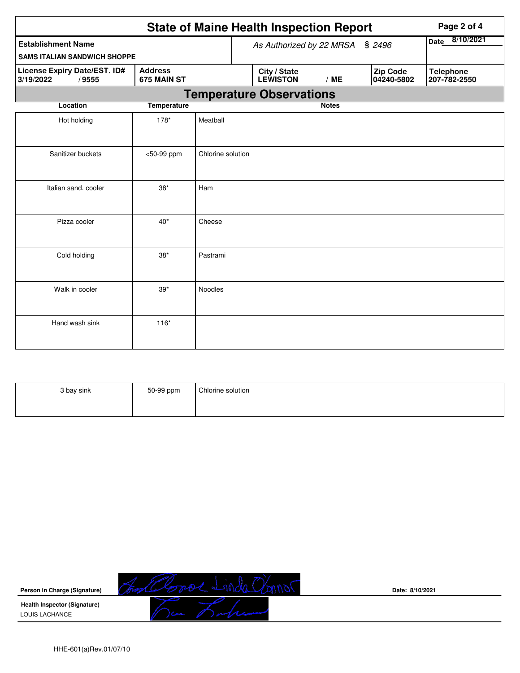|                                                                                     | Page 2 of 4        |                   |                                 |                                 |                        |                                  |  |
|-------------------------------------------------------------------------------------|--------------------|-------------------|---------------------------------|---------------------------------|------------------------|----------------------------------|--|
| <b>Establishment Name</b>                                                           |                    |                   |                                 | As Authorized by 22 MRSA        | 8/10/2021<br>Date      |                                  |  |
| <b>SAMS ITALIAN SANDWICH SHOPPE</b>                                                 |                    |                   |                                 |                                 |                        |                                  |  |
| License Expiry Date/EST. ID#<br><b>Address</b><br>3/19/2022<br>/9555<br>675 MAIN ST |                    |                   | City / State<br><b>LEWISTON</b> | /ME                             | Zip Code<br>04240-5802 | <b>Telephone</b><br>207-782-2550 |  |
|                                                                                     |                    |                   |                                 | <b>Temperature Observations</b> |                        |                                  |  |
| Location                                                                            | <b>Temperature</b> |                   |                                 |                                 | <b>Notes</b>           |                                  |  |
| Hot holding                                                                         | 178*               | Meatball          |                                 |                                 |                        |                                  |  |
| Sanitizer buckets                                                                   | <50-99 ppm         | Chlorine solution |                                 |                                 |                        |                                  |  |
| Italian sand, cooler                                                                | $38*$              | Ham               |                                 |                                 |                        |                                  |  |
| Pizza cooler                                                                        | $40*$              | Cheese            |                                 |                                 |                        |                                  |  |
| Cold holding                                                                        | $38*$              | Pastrami          |                                 |                                 |                        |                                  |  |
| Walk in cooler                                                                      | $39*$              | Noodles           |                                 |                                 |                        |                                  |  |
| Hand wash sink                                                                      | $116*$             |                   |                                 |                                 |                        |                                  |  |

| 3 bay sink | 50-99 ppm | Chlorine solution |
|------------|-----------|-------------------|
|------------|-----------|-------------------|



**Date: 8/10/2021**

HHE-601(a)Rev.01/07/10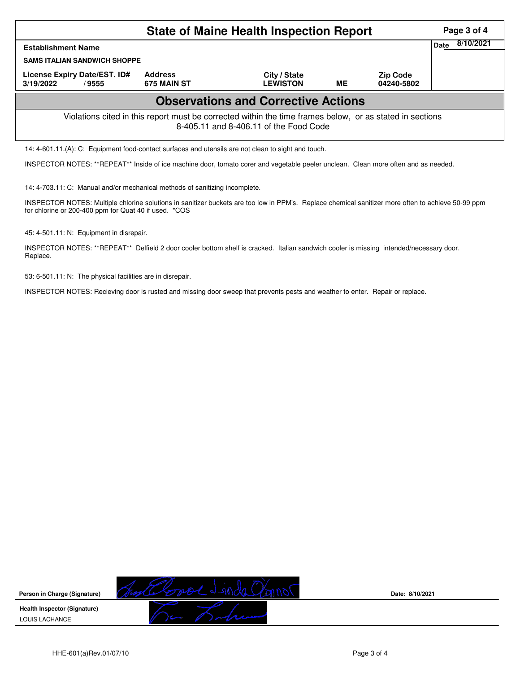|                                                                                                                                                    | Page 3 of 4                   |                                 |    |                               |  |  |  |  |  |  |  |
|----------------------------------------------------------------------------------------------------------------------------------------------------|-------------------------------|---------------------------------|----|-------------------------------|--|--|--|--|--|--|--|
| <b>Establishment Name</b>                                                                                                                          | 8/10/2021<br>Date             |                                 |    |                               |  |  |  |  |  |  |  |
| <b>SAMS ITALIAN SANDWICH SHOPPE</b>                                                                                                                |                               |                                 |    |                               |  |  |  |  |  |  |  |
| License Expiry Date/EST. ID#<br>3/19/2022<br>/ 9555                                                                                                | <b>Address</b><br>675 MAIN ST | City / State<br><b>LEWISTON</b> | ME | <b>Zip Code</b><br>04240-5802 |  |  |  |  |  |  |  |
| <b>Observations and Corrective Actions</b>                                                                                                         |                               |                                 |    |                               |  |  |  |  |  |  |  |
| Violations cited in this report must be corrected within the time frames below, or as stated in sections<br>8-405.11 and 8-406.11 of the Food Code |                               |                                 |    |                               |  |  |  |  |  |  |  |
| 14: 4-601.11.(A): C: Equipment food-contact surfaces and utensils are not clean to sight and touch.                                                |                               |                                 |    |                               |  |  |  |  |  |  |  |

INSPECTOR NOTES: \*\*REPEAT\*\* Inside of ice machine door, tomato corer and vegetable peeler unclean. Clean more often and as needed.

14: 4-703.11: C: Manual and/or mechanical methods of sanitizing incomplete.

INSPECTOR NOTES: Multiple chlorine solutions in sanitizer buckets are too low in PPM's. Replace chemical sanitizer more often to achieve 50-99 ppm for chlorine or 200-400 ppm for Quat 40 if used. \*COS

45: 4-501.11: N: Equipment in disrepair.

INSPECTOR NOTES: \*\*REPEAT\*\* Delfield 2 door cooler bottom shelf is cracked. Italian sandwich cooler is missing intended/necessary door. Replace.

53: 6-501.11: N: The physical facilities are in disrepair.

INSPECTOR NOTES: Recieving door is rusted and missing door sweep that prevents pests and weather to enter. Repair or replace.



**Date: 8/10/2021**